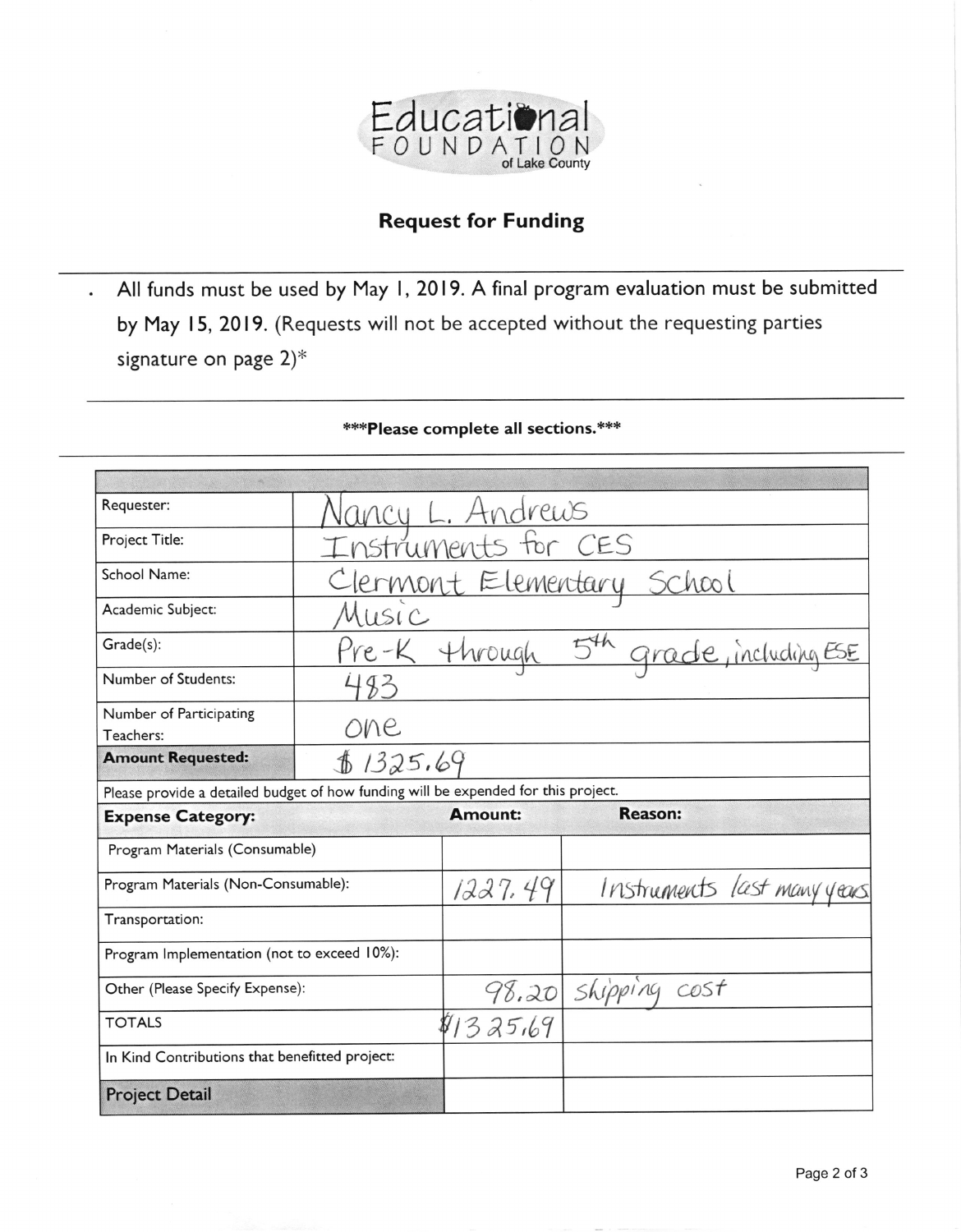

## **Request for Funding**

All funds must be used by May 1, 2019. A final program evaluation must be submitted  $\ddot{\phantom{a}}$ by May 15, 2019. (Requests will not be accepted without the requesting parties signature on page  $2$ <sup>\*</sup>

| Requester:                                                                         |                                                |                |                                        |
|------------------------------------------------------------------------------------|------------------------------------------------|----------------|----------------------------------------|
| Project Title:                                                                     | <u>Vancy L. Andrews</u><br>Instruments for CES |                |                                        |
| School Name:                                                                       | Clermont Elementary School                     |                |                                        |
| Academic Subject:                                                                  | Music                                          |                |                                        |
| Grade(s):                                                                          |                                                |                | Pre-K through 5th grade, including ESE |
| Number of Students:                                                                | 483                                            |                |                                        |
| Number of Participating<br>Teachers:                                               | one                                            |                |                                        |
| <b>Amount Requested:</b>                                                           | \$1325.69                                      |                |                                        |
| Please provide a detailed budget of how funding will be expended for this project. |                                                |                |                                        |
| <b>Expense Category:</b>                                                           |                                                | <b>Amount:</b> | <b>Reason:</b>                         |
| Program Materials (Consumable)                                                     |                                                |                |                                        |
| Program Materials (Non-Consumable):                                                |                                                | 1227.49        | Instruments last many years            |
| Transportation:                                                                    |                                                |                |                                        |
| Program Implementation (not to exceed 10%):                                        |                                                |                |                                        |
| Other (Please Specify Expense):                                                    |                                                |                | 98.20 shipping cost                    |
|                                                                                    |                                                |                |                                        |
| <b>TOTALS</b>                                                                      |                                                | 81325.69       |                                        |
| In Kind Contributions that benefitted project:                                     |                                                |                |                                        |

## \*\*\* Please complete all sections.\*\*\*